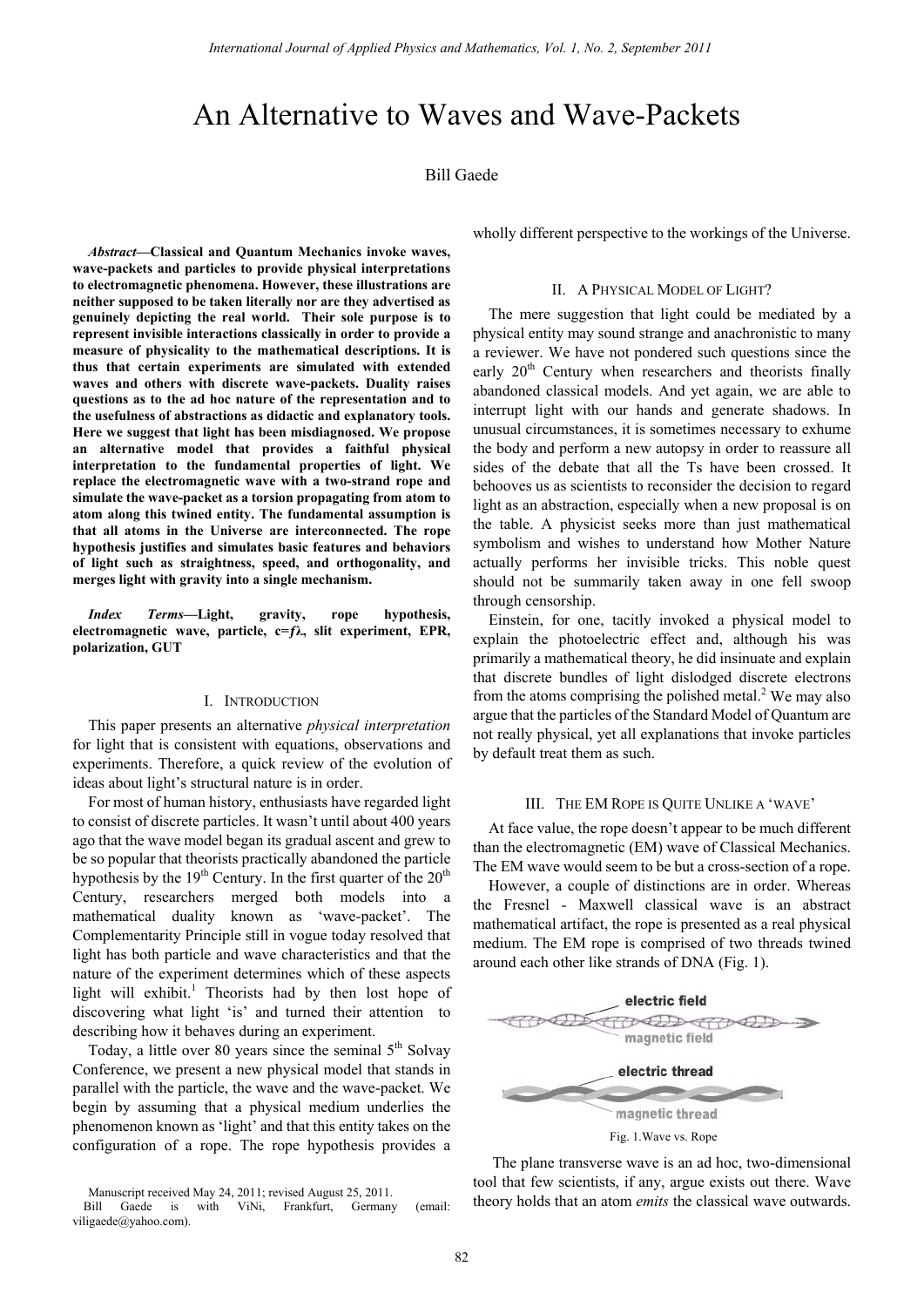# An Alternative to Waves and Wave-Packets

# Bill Gaede

*Abstract***—Classical and Quantum Mechanics invoke waves, wave-packets and particles to provide physical interpretations to electromagnetic phenomena. However, these illustrations are neither supposed to be taken literally nor are they advertised as genuinely depicting the real world. Their sole purpose is to represent invisible interactions classically in order to provide a measure of physicality to the mathematical descriptions. It is thus that certain experiments are simulated with extended waves and others with discrete wave-packets. Duality raises questions as to the ad hoc nature of the representation and to the usefulness of abstractions as didactic and explanatory tools. Here we suggest that light has been misdiagnosed. We propose an alternative model that provides a faithful physical interpretation to the fundamental properties of light. We replace the electromagnetic wave with a two-strand rope and simulate the wave-packet as a torsion propagating from atom to atom along this twined entity. The fundamental assumption is that all atoms in the Universe are interconnected. The rope hypothesis justifies and simulates basic features and behaviors of light such as straightness, speed, and orthogonality, and merges light with gravity into a single mechanism.** 

*Index Terms***—Light, gravity, rope hypothesis, electromagnetic wave, particle, c=ƒλ, slit experiment, EPR, polarization, GUT** 

#### I. INTRODUCTION

This paper presents an alternative *physical interpretation* for light that is consistent with equations, observations and experiments. Therefore, a quick review of the evolution of ideas about light's structural nature is in order.

For most of human history, enthusiasts have regarded light to consist of discrete particles. It wasn't until about 400 years ago that the wave model began its gradual ascent and grew to be so popular that theorists practically abandoned the particle hypothesis by the  $19<sup>th</sup>$  Century. In the first quarter of the  $20<sup>th</sup>$ Century, researchers merged both models into a mathematical duality known as 'wave-packet'. The Complementarity Principle still in vogue today resolved that light has both particle and wave characteristics and that the nature of the experiment determines which of these aspects light will exhibit.<sup>1</sup> Theorists had by then lost hope of discovering what light 'is' and turned their attention to describing how it behaves during an experiment.

Today, a little over 80 years since the seminal  $5<sup>th</sup>$  Solvay Conference, we present a new physical model that stands in parallel with the particle, the wave and the wave-packet. We begin by assuming that a physical medium underlies the phenomenon known as 'light' and that this entity takes on the configuration of a rope. The rope hypothesis provides a

wholly different perspective to the workings of the Universe.

#### II. A PHYSICAL MODEL OF LIGHT?

The mere suggestion that light could be mediated by a physical entity may sound strange and anachronistic to many a reviewer. We have not pondered such questions since the early  $20<sup>th</sup>$  Century when researchers and theorists finally abandoned classical models. And yet again, we are able to interrupt light with our hands and generate shadows. In unusual circumstances, it is sometimes necessary to exhume the body and perform a new autopsy in order to reassure all sides of the debate that all the Ts have been crossed. It behooves us as scientists to reconsider the decision to regard light as an abstraction, especially when a new proposal is on the table. A physicist seeks more than just mathematical symbolism and wishes to understand how Mother Nature actually performs her invisible tricks. This noble quest should not be summarily taken away in one fell swoop through censorship.

Einstein, for one, tacitly invoked a physical model to explain the photoelectric effect and, although his was primarily a mathematical theory, he did insinuate and explain that discrete bundles of light dislodged discrete electrons from the atoms comprising the polished metal. $2$  We may also argue that the particles of the Standard Model of Quantum are not really physical, yet all explanations that invoke particles by default treat them as such.

#### III. THE EM ROPE IS QUITE UNLIKE A 'WAVE'

At face value, the rope doesn't appear to be much different than the electromagnetic (EM) wave of Classical Mechanics. The EM wave would seem to be but a cross-section of a rope.

However, a couple of distinctions are in order. Whereas the Fresnel - Maxwell classical wave is an abstract mathematical artifact, the rope is presented as a real physical medium. The EM rope is comprised of two threads twined around each other like strands of DNA (Fig. 1).



 The plane transverse wave is an ad hoc, two-dimensional tool that few scientists, if any, argue exists out there. Wave theory holds that an atom *emits* the classical wave outwards.

Manuscript received May 24, 2011; revised August 25, 2011.

Bill Gaede is with ViNi, Frankfurt, Germany (email: viligaede@yahoo.com).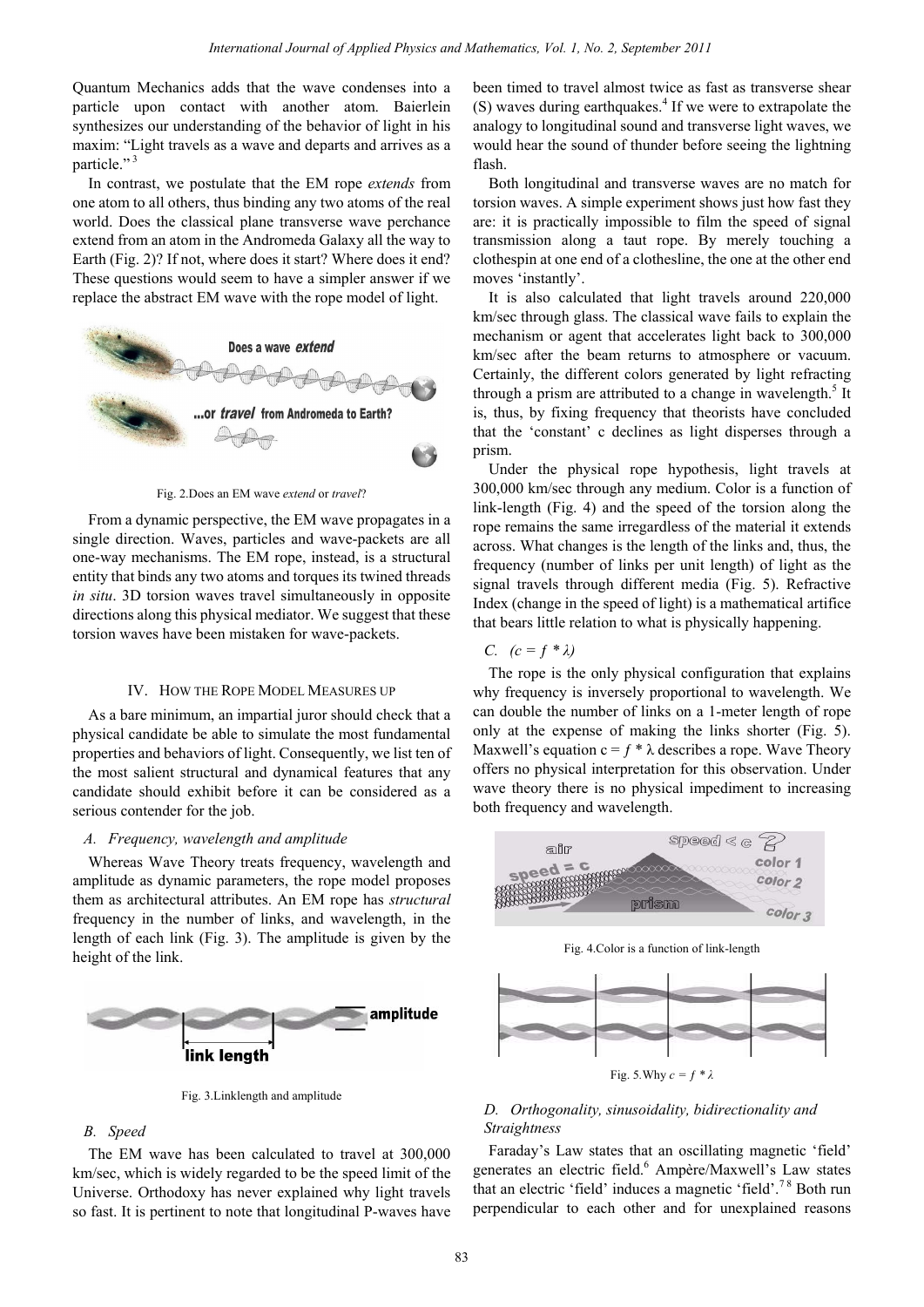Quantum Mechanics adds that the wave condenses into a particle upon contact with another atom. Baierlein synthesizes our understanding of the behavior of light in his maxim: "Light travels as a wave and departs and arrives as a particle."<sup>3</sup>

In contrast, we postulate that the EM rope *extends* from one atom to all others, thus binding any two atoms of the real world. Does the classical plane transverse wave perchance extend from an atom in the Andromeda Galaxy all the way to Earth (Fig. 2)? If not, where does it start? Where does it end? These questions would seem to have a simpler answer if we replace the abstract EM wave with the rope model of light.



Fig. 2.Does an EM wave *extend* or *travel*?

From a dynamic perspective, the EM wave propagates in a single direction. Waves, particles and wave-packets are all one-way mechanisms. The EM rope, instead, is a structural entity that binds any two atoms and torques its twined threads *in situ*. 3D torsion waves travel simultaneously in opposite directions along this physical mediator. We suggest that these torsion waves have been mistaken for wave-packets.

## IV. HOW THE ROPE MODEL MEASURES UP

As a bare minimum, an impartial juror should check that a physical candidate be able to simulate the most fundamental properties and behaviors of light. Consequently, we list ten of the most salient structural and dynamical features that any candidate should exhibit before it can be considered as a serious contender for the job.

### *A. Frequency, wavelength and amplitude*

Whereas Wave Theory treats frequency, wavelength and amplitude as dynamic parameters, the rope model proposes them as architectural attributes. An EM rope has *structural* frequency in the number of links, and wavelength, in the length of each link (Fig. 3). The amplitude is given by the height of the link.



Fig. 3.Linklength and amplitude

#### *B. Speed*

The EM wave has been calculated to travel at 300,000 km/sec, which is widely regarded to be the speed limit of the Universe. Orthodoxy has never explained why light travels so fast. It is pertinent to note that longitudinal P-waves have been timed to travel almost twice as fast as transverse shear  $(S)$  waves during earthquakes. $4$  If we were to extrapolate the analogy to longitudinal sound and transverse light waves, we would hear the sound of thunder before seeing the lightning flash.

Both longitudinal and transverse waves are no match for torsion waves. A simple experiment shows just how fast they are: it is practically impossible to film the speed of signal transmission along a taut rope. By merely touching a clothespin at one end of a clothesline, the one at the other end moves 'instantly'.

It is also calculated that light travels around 220,000 km/sec through glass. The classical wave fails to explain the mechanism or agent that accelerates light back to 300,000 km/sec after the beam returns to atmosphere or vacuum. Certainly, the different colors generated by light refracting through a prism are attributed to a change in wavelength. $<sup>5</sup>$  It</sup> is, thus, by fixing frequency that theorists have concluded that the 'constant' c declines as light disperses through a prism.

Under the physical rope hypothesis, light travels at 300,000 km/sec through any medium. Color is a function of link-length (Fig. 4) and the speed of the torsion along the rope remains the same irregardless of the material it extends across. What changes is the length of the links and, thus, the frequency (number of links per unit length) of light as the signal travels through different media (Fig. 5). Refractive Index (change in the speed of light) is a mathematical artifice that bears little relation to what is physically happening.

*C.*  $(c = f * \lambda)$ 

The rope is the only physical configuration that explains why frequency is inversely proportional to wavelength. We can double the number of links on a 1-meter length of rope only at the expense of making the links shorter (Fig. 5). Maxwell's equation  $c = f * \lambda$  describes a rope. Wave Theory offers no physical interpretation for this observation. Under wave theory there is no physical impediment to increasing both frequency and wavelength.



Fig. 5*.*Why *c = ƒ \* λ*

# *D. Orthogonality, sinusoidality, bidirectionality and Straightness*

Faraday's Law states that an oscillating magnetic 'field' generates an electric field.<sup>6</sup> Ampère/Maxwell's Law states that an electric 'field' induces a magnetic 'field'.7 8 Both run perpendicular to each other and for unexplained reasons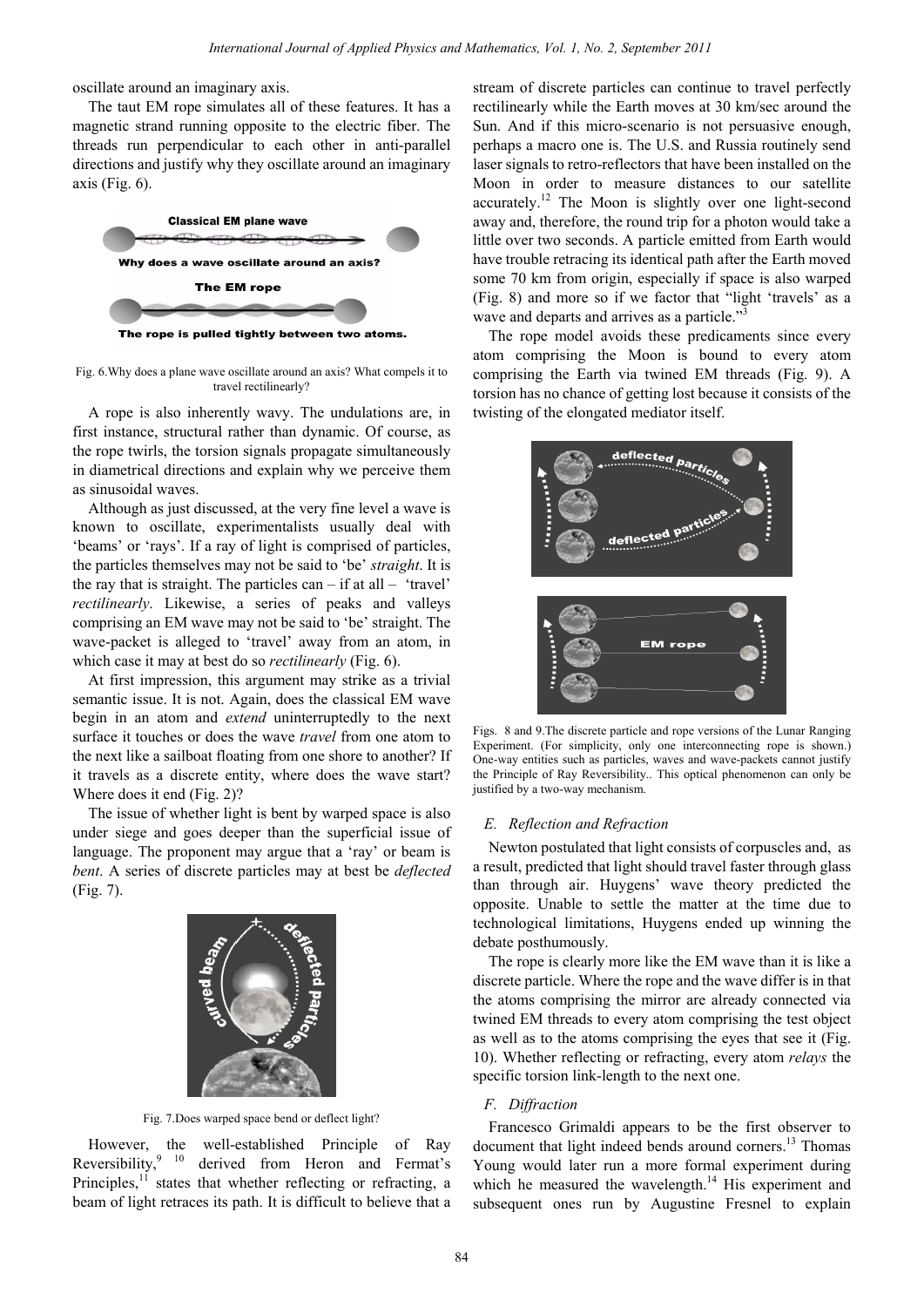oscillate around an imaginary axis.

The taut EM rope simulates all of these features. It has a magnetic strand running opposite to the electric fiber. The threads run perpendicular to each other in anti-parallel directions and justify why they oscillate around an imaginary axis (Fig.  $6$ ).



The rope is pulled tightly between two atoms.

Fig. 6.Why does a plane wave oscillate around an axis? What compels it to travel rectilinearly?

A rope is also inherently wavy. The undulations are, in first instance, structural rather than dynamic. Of course, as the rope twirls, the torsion signals propagate simultaneously in diametrical directions and explain why we perceive them as sinusoidal waves.

Although as just discussed, at the very fine level a wave is known to oscillate, experimentalists usually deal with 'beams' or 'rays'. If a ray of light is comprised of particles, the particles themselves may not be said to 'be' *straight*. It is the ray that is straight. The particles  $can - if at all - 'travel'$ *rectilinearly*. Likewise, a series of peaks and valleys comprising an EM wave may not be said to 'be' straight. The wave-packet is alleged to 'travel' away from an atom, in which case it may at best do so *rectilinearly* (Fig. 6).

At first impression, this argument may strike as a trivial semantic issue. It is not. Again, does the classical EM wave begin in an atom and *extend* uninterruptedly to the next surface it touches or does the wave *travel* from one atom to the next like a sailboat floating from one shore to another? If it travels as a discrete entity, where does the wave start? Where does it end (Fig. 2)?

The issue of whether light is bent by warped space is also under siege and goes deeper than the superficial issue of language. The proponent may argue that a 'ray' or beam is *bent*. A series of discrete particles may at best be *deflected* (Fig. 7).



Fig. 7.Does warped space bend or deflect light?

However, the well-established Principle of Ray Reversibility, $9^{9}$  10 derived from Heron and Fermat's Principles, $11$  states that whether reflecting or refracting, a beam of light retraces its path. It is difficult to believe that a stream of discrete particles can continue to travel perfectly rectilinearly while the Earth moves at 30 km/sec around the Sun. And if this micro-scenario is not persuasive enough, perhaps a macro one is. The U.S. and Russia routinely send laser signals to retro-reflectors that have been installed on the Moon in order to measure distances to our satellite accurately.12 The Moon is slightly over one light-second away and, therefore, the round trip for a photon would take a little over two seconds. A particle emitted from Earth would have trouble retracing its identical path after the Earth moved some 70 km from origin, especially if space is also warped (Fig. 8) and more so if we factor that "light 'travels' as a wave and departs and arrives as a particle."<sup>3</sup>

The rope model avoids these predicaments since every atom comprising the Moon is bound to every atom comprising the Earth via twined EM threads (Fig. 9). A torsion has no chance of getting lost because it consists of the twisting of the elongated mediator itself.



Figs. 8 and 9.The discrete particle and rope versions of the Lunar Ranging Experiment. (For simplicity, only one interconnecting rope is shown.) One-way entities such as particles, waves and wave-packets cannot justify the Principle of Ray Reversibility.. This optical phenomenon can only be justified by a two-way mechanism.

#### *E. Reflection and Refraction*

Newton postulated that light consists of corpuscles and, as a result, predicted that light should travel faster through glass than through air. Huygens' wave theory predicted the opposite. Unable to settle the matter at the time due to technological limitations, Huygens ended up winning the debate posthumously.

The rope is clearly more like the EM wave than it is like a discrete particle. Where the rope and the wave differ is in that the atoms comprising the mirror are already connected via twined EM threads to every atom comprising the test object as well as to the atoms comprising the eyes that see it (Fig. 10). Whether reflecting or refracting, every atom *relays* the specific torsion link-length to the next one.

## *F. Diffraction*

Francesco Grimaldi appears to be the first observer to document that light indeed bends around corners.<sup>13</sup> Thomas Young would later run a more formal experiment during which he measured the wavelength. $14$  His experiment and subsequent ones run by Augustine Fresnel to explain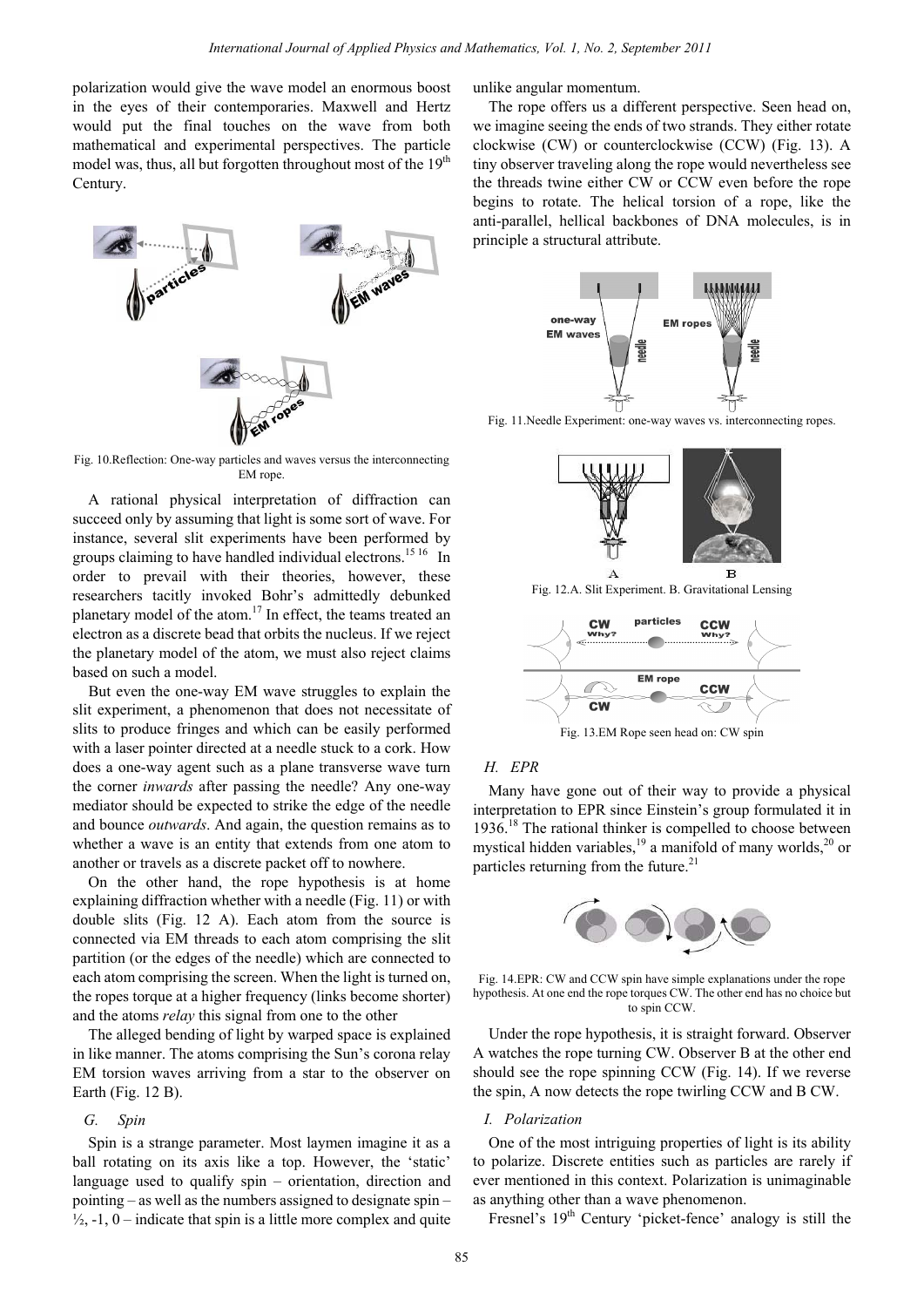polarization would give the wave model an enormous boost in the eyes of their contemporaries. Maxwell and Hertz would put the final touches on the wave from both mathematical and experimental perspectives. The particle model was, thus, all but forgotten throughout most of the 19<sup>th</sup> Century.



Fig. 10.Reflection: One-way particles and waves versus the interconnecting EM rope.

A rational physical interpretation of diffraction can succeed only by assuming that light is some sort of wave. For instance, several slit experiments have been performed by groups claiming to have handled individual electrons.<sup>15 16</sup> In order to prevail with their theories, however, these researchers tacitly invoked Bohr's admittedly debunked planetary model of the atom.<sup>17</sup> In effect, the teams treated an electron as a discrete bead that orbits the nucleus. If we reject the planetary model of the atom, we must also reject claims based on such a model.

But even the one-way EM wave struggles to explain the slit experiment, a phenomenon that does not necessitate of slits to produce fringes and which can be easily performed with a laser pointer directed at a needle stuck to a cork. How does a one-way agent such as a plane transverse wave turn the corner *inwards* after passing the needle? Any one-way mediator should be expected to strike the edge of the needle and bounce *outwards*. And again, the question remains as to whether a wave is an entity that extends from one atom to another or travels as a discrete packet off to nowhere.

On the other hand, the rope hypothesis is at home explaining diffraction whether with a needle (Fig. 11) or with double slits (Fig. 12 A). Each atom from the source is connected via EM threads to each atom comprising the slit partition (or the edges of the needle) which are connected to each atom comprising the screen. When the light is turned on, the ropes torque at a higher frequency (links become shorter) and the atoms *relay* this signal from one to the other

The alleged bending of light by warped space is explained in like manner. The atoms comprising the Sun's corona relay EM torsion waves arriving from a star to the observer on Earth (Fig. 12 B).

## *G. Spin*

Spin is a strange parameter. Most laymen imagine it as a ball rotating on its axis like a top. However, the 'static' language used to qualify spin – orientation, direction and pointing – as well as the numbers assigned to designate spin –  $\frac{1}{2}$ , -1, 0 – indicate that spin is a little more complex and quite unlike angular momentum.

The rope offers us a different perspective. Seen head on, we imagine seeing the ends of two strands. They either rotate clockwise (CW) or counterclockwise (CCW) (Fig. 13). A tiny observer traveling along the rope would nevertheless see the threads twine either CW or CCW even before the rope begins to rotate. The helical torsion of a rope, like the anti-parallel, hellical backbones of DNA molecules, is in principle a structural attribute.



Fig. 11.Needle Experiment: one-way waves vs. interconnecting ropes.



Fig. 12.A. Slit Experiment. B. Gravitational Lensing



Fig. 13.EM Rope seen head on: CW spin

## *H. EPR*

Many have gone out of their way to provide a physical interpretation to EPR since Einstein's group formulated it in 1936.18 The rational thinker is compelled to choose between mystical hidden variables,<sup>19</sup> a manifold of many worlds,<sup>20</sup> or particles returning from the future. $^{21}$ 



Fig. 14.EPR: CW and CCW spin have simple explanations under the rope hypothesis. At one end the rope torques CW. The other end has no choice but to spin CCW.

Under the rope hypothesis, it is straight forward. Observer A watches the rope turning CW. Observer B at the other end should see the rope spinning CCW (Fig. 14). If we reverse the spin, A now detects the rope twirling CCW and B CW.

## *I. Polarization*

One of the most intriguing properties of light is its ability to polarize. Discrete entities such as particles are rarely if ever mentioned in this context. Polarization is unimaginable as anything other than a wave phenomenon.

Fresnel's 19<sup>th</sup> Century 'picket-fence' analogy is still the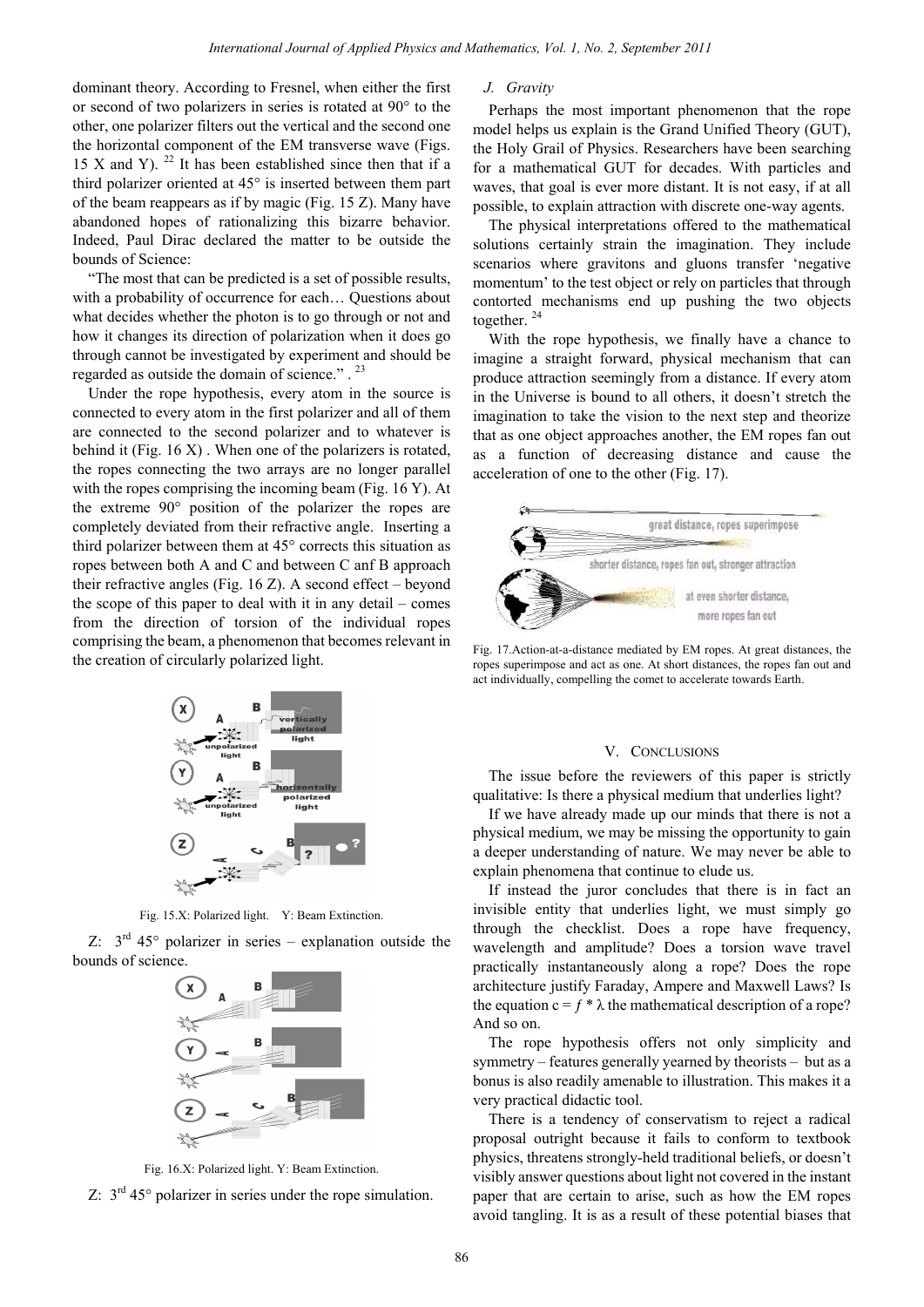dominant theory. According to Fresnel, when either the first or second of two polarizers in series is rotated at 90° to the other, one polarizer filters out the vertical and the second one the horizontal component of the EM transverse wave (Figs. 15 X and Y).  $^{22}$  It has been established since then that if a third polarizer oriented at 45° is inserted between them part of the beam reappears as if by magic (Fig. 15 Z). Many have abandoned hopes of rationalizing this bizarre behavior. Indeed, Paul Dirac declared the matter to be outside the bounds of Science:

"The most that can be predicted is a set of possible results, with a probability of occurrence for each… Questions about what decides whether the photon is to go through or not and how it changes its direction of polarization when it does go through cannot be investigated by experiment and should be regarded as outside the domain of science." . <sup>23</sup>

Under the rope hypothesis, every atom in the source is connected to every atom in the first polarizer and all of them are connected to the second polarizer and to whatever is behind it (Fig. 16 X). When one of the polarizers is rotated, the ropes connecting the two arrays are no longer parallel with the ropes comprising the incoming beam (Fig. 16 Y). At the extreme 90° position of the polarizer the ropes are completely deviated from their refractive angle. Inserting a third polarizer between them at 45° corrects this situation as ropes between both A and C and between C anf B approach their refractive angles (Fig.  $16 Z$ ). A second effect – beyond the scope of this paper to deal with it in any detail – comes from the direction of torsion of the individual ropes comprising the beam, a phenomenon that becomes relevant in the creation of circularly polarized light.



Fig. 15.X: Polarized light. Y: Beam Extinction.

Z:  $3<sup>rd</sup> 45<sup>°</sup>$  polarizer in series – explanation outside the bounds of science.



Fig. 16.X: Polarized light. Y: Beam Extinction.



## *J. Gravity*

Perhaps the most important phenomenon that the rope model helps us explain is the Grand Unified Theory (GUT), the Holy Grail of Physics. Researchers have been searching for a mathematical GUT for decades. With particles and waves, that goal is ever more distant. It is not easy, if at all possible, to explain attraction with discrete one-way agents.

The physical interpretations offered to the mathematical solutions certainly strain the imagination. They include scenarios where gravitons and gluons transfer 'negative momentum' to the test object or rely on particles that through contorted mechanisms end up pushing the two objects together.<sup>24</sup>

With the rope hypothesis, we finally have a chance to imagine a straight forward, physical mechanism that can produce attraction seemingly from a distance. If every atom in the Universe is bound to all others, it doesn't stretch the imagination to take the vision to the next step and theorize that as one object approaches another, the EM ropes fan out as a function of decreasing distance and cause the acceleration of one to the other (Fig. 17).



Fig. 17.Action-at-a-distance mediated by EM ropes. At great distances, the ropes superimpose and act as one. At short distances, the ropes fan out and act individually, compelling the comet to accelerate towards Earth.

#### V. CONCLUSIONS

The issue before the reviewers of this paper is strictly qualitative: Is there a physical medium that underlies light?

If we have already made up our minds that there is not a physical medium, we may be missing the opportunity to gain a deeper understanding of nature. We may never be able to explain phenomena that continue to elude us.

If instead the juror concludes that there is in fact an invisible entity that underlies light, we must simply go through the checklist. Does a rope have frequency, wavelength and amplitude? Does a torsion wave travel practically instantaneously along a rope? Does the rope architecture justify Faraday, Ampere and Maxwell Laws? Is the equation  $c = f * \lambda$  the mathematical description of a rope? And so on.

The rope hypothesis offers not only simplicity and symmetry – features generally yearned by theorists – but as a bonus is also readily amenable to illustration. This makes it a very practical didactic tool.

There is a tendency of conservatism to reject a radical proposal outright because it fails to conform to textbook physics, threatens strongly-held traditional beliefs, or doesn't visibly answer questions about light not covered in the instant paper that are certain to arise, such as how the EM ropes avoid tangling. It is as a result of these potential biases that